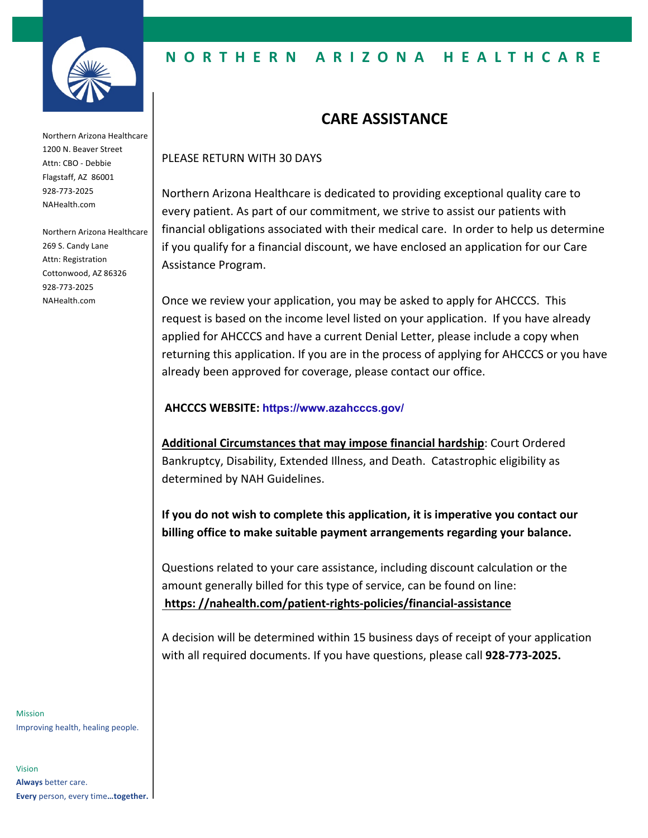

Northern Arizona Healthcare 1200 N. Beaver Street Attn: CBO - Debbie Flagstaff, AZ 86001 928-773-2025 NAHealth.com

Northern Arizona Healthcare 269 S. Candy Lane Attn: Registration Cottonwood, AZ 86326 928-773-2025 NAHealth.com

### **NORTHERN ARIZONA HEALTHCARE**

# **CARE ASSISTANCE**

#### PLEASE RETURN WITH 30 DAYS

Northern Arizona Healthcare is dedicated to providing exceptional quality care to every patient. As part of our commitment, we strive to assist our patients with financial obligations associated with their medical care. In order to help us determine if you qualify for a financial discount, we have enclosed an application for our Care Assistance Program.

Once we review your application, you may be asked to apply for AHCCCS. This request is based on the income level listed on your application. If you have already applied for AHCCCS and have a current Denial Letter, please include a copy when returning this application. If you are in the process of applying for AHCCCS or you have already been approved for coverage, please contact our office.

#### **AHCCCS WEBSITE: https://www.azahcccs.gov/**

**Additional Circumstances that may impose financial hardship**: Court Ordered Bankruptcy, Disability, Extended Illness, and Death. Catastrophic eligibility as determined by NAH Guidelines.

**If you do not wish to complete this application, it is imperative you contact our billing office to make suitable payment arrangements regarding your balance.**

Questions related to your care assistance, including discount calculation or the amount generally billed for this type of service, can be found on line: **https: //nahealth.com/patient-rights-policies/financial-assistance**

A decision will be determined within 15 business days of receipt of your application with all required documents. If you have questions, please call **928-773-2025.**

Mission Improving health, healing people.

Vision **Always** better care. **Every** person, every time**…together.**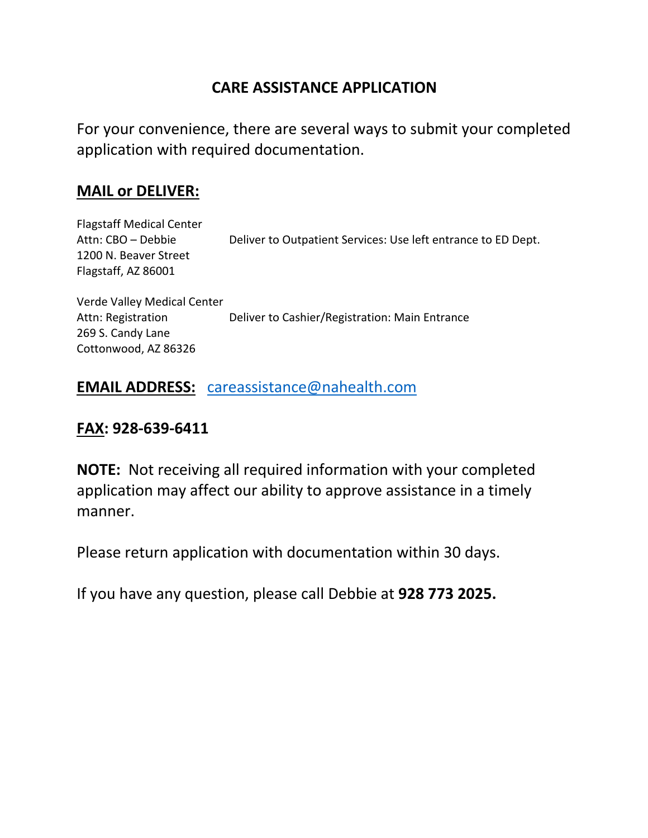# **CARE ASSISTANCE APPLICATION**

For your convenience, there are several ways to submit your completed application with required documentation.

## **MAIL or DELIVER:**

Flagstaff Medical Center Attn: CBO – Debbie Deliver to Outpatient Services: Use left entrance to ED Dept. 1200 N. Beaver Street Flagstaff, AZ 86001

Verde Valley Medical Center Attn: Registration Deliver to Cashier/Registration: Main Entrance 269 S. Candy Lane Cottonwood, AZ 86326

### **EMAIL ADDRESS:** careassistance@nahealth.com

## **FAX: 928-639-6411**

**NOTE:** Not receiving all required information with your completed application may affect our ability to approve assistance in a timely manner.

Please return application with documentation within 30 days.

If you have any question, please call Debbie at **928 773 2025.**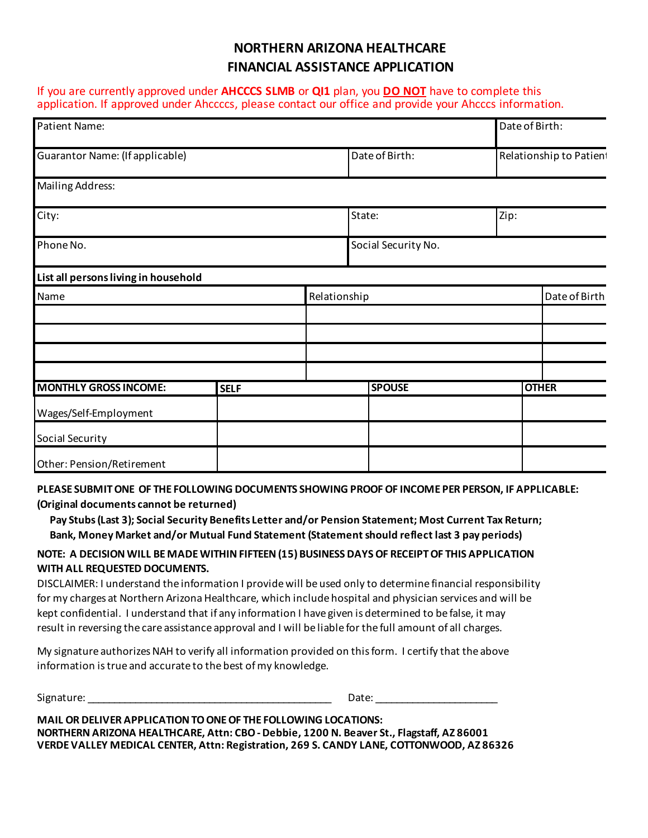### **NORTHERN ARIZONA HEALTHCARE FINANCIAL ASSISTANCE APPLICATION**

If you are currently approved under **AHCCCS SLMB** or **QI1** plan, you **DO NOT** have to complete this application. If approved under Ahccccs, please contact our office and provide your Ahcccs information.

| Patient Name:                        |             |                |                         | Date of Birth: |               |
|--------------------------------------|-------------|----------------|-------------------------|----------------|---------------|
| Guarantor Name: (If applicable)      |             | Date of Birth: | Relationship to Patient |                |               |
| <b>Mailing Address:</b>              |             |                |                         |                |               |
| City:                                |             |                | State:                  | Zip:           |               |
| Phone No.                            |             |                | Social Security No.     |                |               |
| List all persons living in household |             |                |                         |                |               |
| Name                                 |             | Relationship   |                         |                | Date of Birth |
|                                      |             |                |                         |                |               |
|                                      |             |                |                         |                |               |
|                                      |             |                |                         |                |               |
| <b>MONTHLY GROSS INCOME:</b>         | <b>SELF</b> |                | <b>SPOUSE</b>           |                | <b>OTHER</b>  |
| Wages/Self-Employment                |             |                |                         |                |               |
| Social Security                      |             |                |                         |                |               |
| Other: Pension/Retirement            |             |                |                         |                |               |

**PLEASE SUBMIT ONE OF THE FOLLOWING DOCUMENTS SHOWING PROOF OF INCOME PER PERSON, IF APPLICABLE: (Original documents cannot be returned)**

 **Pay Stubs (Last 3); Social Security Benefits Letter and/or Pension Statement; Most Current Tax Return; Bank, Money Market and/or Mutual Fund Statement (Statement should reflect last 3 pay periods)**

#### **NOTE: A DECISION WILL BE MADE WITHIN FIFTEEN (15) BUSINESS DAYS OF RECEIPT OF THIS APPLICATION WITH ALL REQUESTED DOCUMENTS.**

DISCLAIMER: I understand the information I provide will be used only to determine financial responsibility for my charges at Northern Arizona Healthcare, which include hospital and physician services and will be kept confidential. I understand that if any information I have given is determined to be false, it may result in reversing the care assistance approval and I will be liable for the full amount of all charges.

My signature authorizes NAH to verify all information provided on this form. I certify that the above information is true and accurate to the best of my knowledge.

Signature: \_\_\_\_\_\_\_\_\_\_\_\_\_\_\_\_\_\_\_\_\_\_\_\_\_\_\_\_\_\_\_\_\_\_\_\_\_\_\_\_\_\_\_\_\_\_ Date: \_\_\_\_\_\_\_\_\_\_\_\_\_\_\_\_\_\_\_\_\_\_\_

| MAIL OR DELIVER APPLICATION TO ONE OF THE FOLLOWING LOCATIONS:                           |
|------------------------------------------------------------------------------------------|
| NORTHERN ARIZONA HEALTHCARE, Attn: CBO - Debbie, 1200 N. Beaver St., Flagstaff, AZ 86001 |
| VERDE VALLEY MEDICAL CENTER, Attn: Registration, 269 S. CANDY LANE, COTTONWOOD, AZ 86326 |